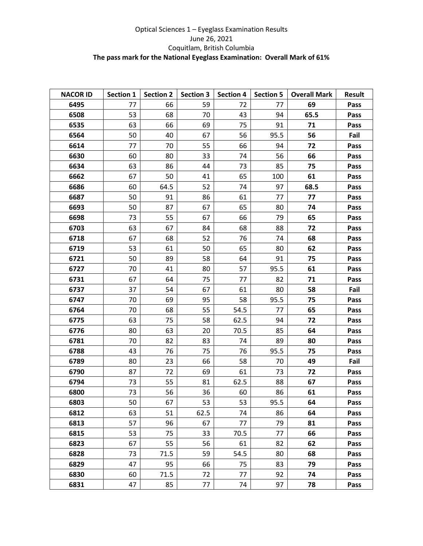## Optical Sciences 1 – Eyeglass Examination Results June 26, 2021 Coquitlam, British Columbia **The pass mark for the National Eyeglass Examination: Overall Mark of 61%**

| <b>NACOR ID</b> | <b>Section 1</b> | <b>Section 2</b> | <b>Section 3</b> | <b>Section 4</b> | <b>Section 5</b> | <b>Overall Mark</b> | <b>Result</b> |
|-----------------|------------------|------------------|------------------|------------------|------------------|---------------------|---------------|
| 6495            | 77               | 66               | 59               | 72               | 77               | 69                  | Pass          |
| 6508            | 53               | 68               | 70               | 43               | 94               | 65.5                | Pass          |
| 6535            | 63               | 66               | 69               | 75               | 91               | 71                  | Pass          |
| 6564            | 50               | 40               | 67               | 56               | 95.5             | 56                  | Fail          |
| 6614            | 77               | 70               | 55               | 66               | 94               | 72                  | Pass          |
| 6630            | 60               | 80               | 33               | 74               | 56               | 66                  | Pass          |
| 6634            | 63               | 86               | 44               | 73               | 85               | 75                  | Pass          |
| 6662            | 67               | 50               | 41               | 65               | 100              | 61                  | Pass          |
| 6686            | 60               | 64.5             | 52               | 74               | 97               | 68.5                | Pass          |
| 6687            | 50               | 91               | 86               | 61               | 77               | 77                  | Pass          |
| 6693            | 50               | 87               | 67               | 65               | 80               | 74                  | Pass          |
| 6698            | 73               | 55               | 67               | 66               | 79               | 65                  | Pass          |
| 6703            | 63               | 67               | 84               | 68               | 88               | 72                  | Pass          |
| 6718            | 67               | 68               | 52               | 76               | 74               | 68                  | Pass          |
| 6719            | 53               | 61               | 50               | 65               | 80               | 62                  | Pass          |
| 6721            | 50               | 89               | 58               | 64               | 91               | 75                  | Pass          |
| 6727            | 70               | 41               | 80               | 57               | 95.5             | 61                  | Pass          |
| 6731            | 67               | 64               | 75               | 77               | 82               | 71                  | Pass          |
| 6737            | 37               | 54               | 67               | 61               | 80               | 58                  | Fail          |
| 6747            | 70               | 69               | 95               | 58               | 95.5             | 75                  | Pass          |
| 6764            | 70               | 68               | 55               | 54.5             | 77               | 65                  | Pass          |
| 6775            | 63               | 75               | 58               | 62.5             | 94               | 72                  | Pass          |
| 6776            | 80               | 63               | 20               | 70.5             | 85               | 64                  | Pass          |
| 6781            | 70               | 82               | 83               | 74               | 89               | 80                  | Pass          |
| 6788            | 43               | 76               | 75               | 76               | 95.5             | 75                  | Pass          |
| 6789            | 80               | 23               | 66               | 58               | 70               | 49                  | Fail          |
| 6790            | 87               | 72               | 69               | 61               | 73               | 72                  | Pass          |
| 6794            | 73               | 55               | 81               | 62.5             | 88               | 67                  | Pass          |
| 6800            | 73               | 56               | 36               | 60               | 86               | 61                  | Pass          |
| 6803            | 50               | 67               | 53               | 53               | 95.5             | 64                  | Pass          |
| 6812            | 63               | 51               | 62.5             | 74               | 86               | 64                  | Pass          |
| 6813            | 57               | 96               | 67               | 77               | 79               | 81                  | Pass          |
| 6815            | 53               | 75               | 33               | 70.5             | 77               | 66                  | Pass          |
| 6823            | 67               | 55               | 56               | 61               | 82               | 62                  | Pass          |
| 6828            | 73               | 71.5             | 59               | 54.5             | 80               | 68                  | Pass          |
| 6829            | 47               | 95               | 66               | 75               | 83               | 79                  | Pass          |
| 6830            | 60               | 71.5             | 72               | 77               | 92               | 74                  | Pass          |
| 6831            | 47               | 85               | 77               | 74               | 97               | 78                  | Pass          |